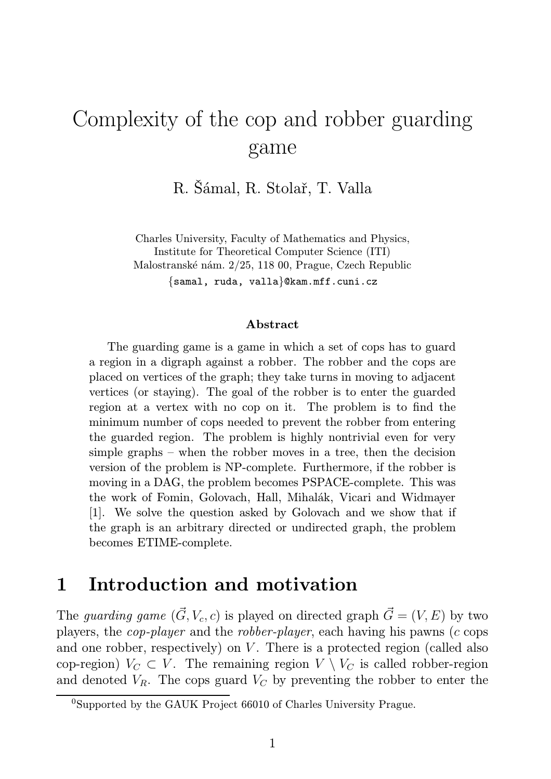# Complexity of the cop and robber guarding game

R. Šámal, R. Stolař, T. Valla

Charles University, Faculty of Mathematics and Physics, Institute for Theoretical Computer Science (ITI) Malostranské nám. 2/25, 118 00, Prague, Czech Republic {samal, ruda, valla}@kam.mff.cuni.cz

#### Abstract

The guarding game is a game in which a set of cops has to guard a region in a digraph against a robber. The robber and the cops are placed on vertices of the graph; they take turns in moving to adjacent vertices (or staying). The goal of the robber is to enter the guarded region at a vertex with no cop on it. The problem is to find the minimum number of cops needed to prevent the robber from entering the guarded region. The problem is highly nontrivial even for very simple graphs – when the robber moves in a tree, then the decision version of the problem is NP-complete. Furthermore, if the robber is moving in a DAG, the problem becomes PSPACE-complete. This was the work of Fomin, Golovach, Hall, Mihalák, Vicari and Widmayer [1]. We solve the question asked by Golovach and we show that if the graph is an arbitrary directed or undirected graph, the problem becomes ETIME-complete.

## 1 Introduction and motivation

The *guarding game*  $(\vec{G}, V_c, c)$  is played on directed graph  $\vec{G} = (V, E)$  by two players, the *cop-player* and the *robber-player*, each having his pawns (c cops and one robber, respectively) on  $V$ . There is a protected region (called also cop-region)  $V_C \subset V$ . The remaining region  $V \setminus V_C$  is called robber-region and denoted  $V_R$ . The cops guard  $V_C$  by preventing the robber to enter the

 $0$ Supported by the GAUK Project 66010 of Charles University Prague.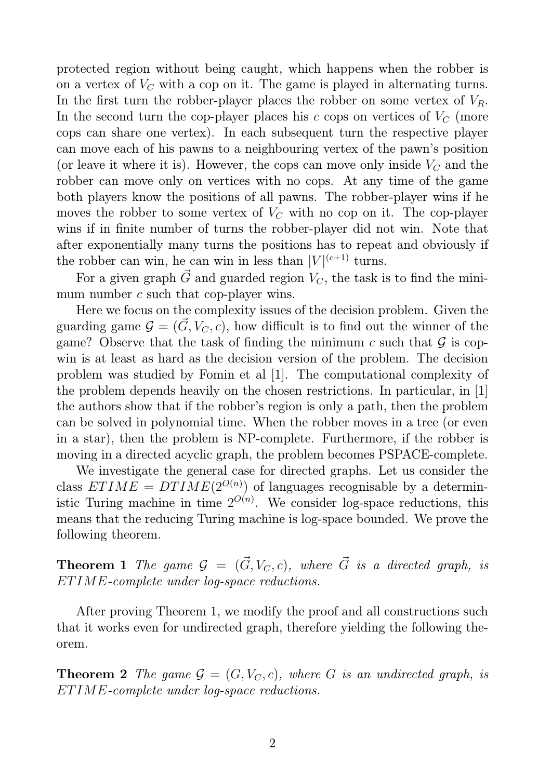protected region without being caught, which happens when the robber is on a vertex of  $V_C$  with a cop on it. The game is played in alternating turns. In the first turn the robber-player places the robber on some vertex of  $V_R$ . In the second turn the cop-player places his c cops on vertices of  $V_C$  (more cops can share one vertex). In each subsequent turn the respective player can move each of his pawns to a neighbouring vertex of the pawn's position (or leave it where it is). However, the cops can move only inside  $V_C$  and the robber can move only on vertices with no cops. At any time of the game both players know the positions of all pawns. The robber-player wins if he moves the robber to some vertex of  $V_C$  with no cop on it. The cop-player wins if in finite number of turns the robber-player did not win. Note that after exponentially many turns the positions has to repeat and obviously if the robber can win, he can win in less than  $|V|^{(c+1)}$  turns.

For a given graph  $\vec{G}$  and guarded region  $V_C$ , the task is to find the minimum number c such that cop-player wins.

Here we focus on the complexity issues of the decision problem. Given the guarding game  $\mathcal{G} = (\vec{G}, V_C, c)$ , how difficult is to find out the winner of the game? Observe that the task of finding the minimum c such that  $\mathcal G$  is copwin is at least as hard as the decision version of the problem. The decision problem was studied by Fomin et al [1]. The computational complexity of the problem depends heavily on the chosen restrictions. In particular, in [1] the authors show that if the robber's region is only a path, then the problem can be solved in polynomial time. When the robber moves in a tree (or even in a star), then the problem is NP-complete. Furthermore, if the robber is moving in a directed acyclic graph, the problem becomes PSPACE-complete.

We investigate the general case for directed graphs. Let us consider the class  $ETIME = DTIME(2^{O(n)})$  of languages recognisable by a deterministic Turing machine in time  $2^{O(n)}$ . We consider log-space reductions, this means that the reducing Turing machine is log-space bounded. We prove the following theorem.

**Theorem 1** The game  $\mathcal{G} = (\vec{G}, V_C, c)$ , where  $\vec{G}$  is a directed graph, is ETIME*-complete under log-space reductions.*

After proving Theorem 1, we modify the proof and all constructions such that it works even for undirected graph, therefore yielding the following theorem.

**Theorem 2** *The game*  $\mathcal{G} = (G, V_C, c)$ *, where* G *is an undirected graph, is* ETIME*-complete under log-space reductions.*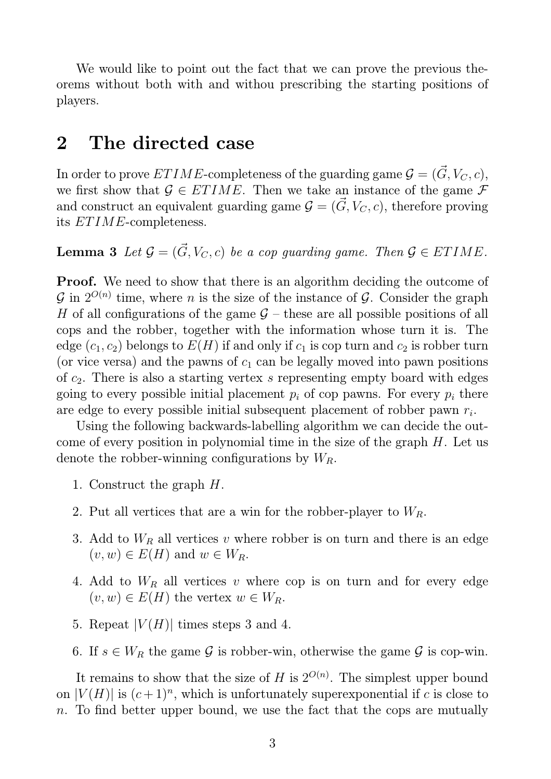We would like to point out the fact that we can prove the previous theorems without both with and withou prescribing the starting positions of players.

## 2 The directed case

In order to prove  $ETIME$ -completeness of the guarding game  $\mathcal{G} = (\vec{G}, V_C, c),$ we first show that  $\mathcal{G} \in ETIME$ . Then we take an instance of the game  $\mathcal{F}$ and construct an equivalent guarding game  $\mathcal{G} = (\vec{G}, V_C, c)$ , therefore proving its ETIME-completeness.

**Lemma 3** Let  $\mathcal{G} = (\vec{G}, V_C, c)$  be a cop guarding game. Then  $\mathcal{G} \in ETHIME$ .

**Proof.** We need to show that there is an algorithm deciding the outcome of  $\mathcal{G}$  in  $2^{O(n)}$  time, where *n* is the size of the instance of  $\mathcal{G}$ . Consider the graph H of all configurations of the game  $G$  – these are all possible positions of all cops and the robber, together with the information whose turn it is. The edge  $(c_1, c_2)$  belongs to  $E(H)$  if and only if  $c_1$  is cop turn and  $c_2$  is robber turn (or vice versa) and the pawns of  $c_1$  can be legally moved into pawn positions of  $c_2$ . There is also a starting vertex s representing empty board with edges going to every possible initial placement  $p_i$  of cop pawns. For every  $p_i$  there are edge to every possible initial subsequent placement of robber pawn  $r_i$ .

Using the following backwards-labelling algorithm we can decide the outcome of every position in polynomial time in the size of the graph  $H$ . Let us denote the robber-winning configurations by  $W_R$ .

- 1. Construct the graph H.
- 2. Put all vertices that are a win for the robber-player to  $W_R$ .
- 3. Add to  $W_R$  all vertices v where robber is on turn and there is an edge  $(v, w) \in E(H)$  and  $w \in W_R$ .
- 4. Add to  $W_R$  all vertices v where cop is on turn and for every edge  $(v, w) \in E(H)$  the vertex  $w \in W_R$ .
- 5. Repeat  $|V(H)|$  times steps 3 and 4.
- 6. If  $s \in W_R$  the game G is robber-win, otherwise the game G is cop-win.

It remains to show that the size of H is  $2^{O(n)}$ . The simplest upper bound on  $|V(H)|$  is  $(c+1)^n$ , which is unfortunately superexponential if c is close to n. To find better upper bound, we use the fact that the cops are mutually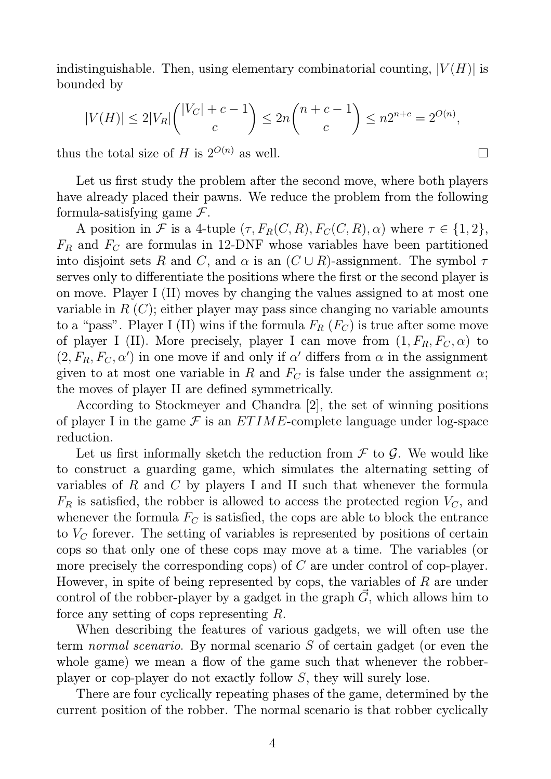indistinguishable. Then, using elementary combinatorial counting,  $|V(H)|$  is bounded by

$$
|V(H)| \le 2|V_R|\binom{|V_C| + c - 1}{c} \le 2n\binom{n + c - 1}{c} \le n2^{n + c} = 2^{O(n)},
$$

thus the total size of H is  $2^{O(n)}$  as well.

Let us first study the problem after the second move, where both players have already placed their pawns. We reduce the problem from the following formula-satisfying game  $\mathcal{F}$ .

A position in F is a 4-tuple  $(\tau, F_R(C, R), F_C(C, R), \alpha)$  where  $\tau \in \{1, 2\},$  $F_R$  and  $F_C$  are formulas in 12-DNF whose variables have been partitioned into disjoint sets R and C, and  $\alpha$  is an  $(C \cup R)$ -assignment. The symbol  $\tau$ serves only to differentiate the positions where the first or the second player is on move. Player I (II) moves by changing the values assigned to at most one variable in  $R(C)$ ; either player may pass since changing no variable amounts to a "pass". Player I (II) wins if the formula  $F_R$  ( $F_C$ ) is true after some move of player I (II). More precisely, player I can move from  $(1, F_R, F_C, \alpha)$  to  $(2, F_R, F_C, \alpha)$  in one move if and only if  $\alpha'$  differs from  $\alpha$  in the assignment given to at most one variable in R and  $F_C$  is false under the assignment  $\alpha$ ; the moves of player II are defined symmetrically.

According to Stockmeyer and Chandra [2], the set of winning positions of player I in the game  $\mathcal F$  is an  $ETIME$ -complete language under log-space reduction.

Let us first informally sketch the reduction from  $\mathcal F$  to  $\mathcal G$ . We would like to construct a guarding game, which simulates the alternating setting of variables of R and C by players I and II such that whenever the formula  $F_R$  is satisfied, the robber is allowed to access the protected region  $V_C$ , and whenever the formula  $F_C$  is satisfied, the cops are able to block the entrance to  $V_C$  forever. The setting of variables is represented by positions of certain cops so that only one of these cops may move at a time. The variables (or more precisely the corresponding cops) of C are under control of cop-player. However, in spite of being represented by cops, the variables of  $R$  are under control of the robber-player by a gadget in the graph  $\vec{G}$ , which allows him to force any setting of cops representing R.

When describing the features of various gadgets, we will often use the term *normal scenario*. By normal scenario S of certain gadget (or even the whole game) we mean a flow of the game such that whenever the robberplayer or cop-player do not exactly follow S, they will surely lose.

There are four cyclically repeating phases of the game, determined by the current position of the robber. The normal scenario is that robber cyclically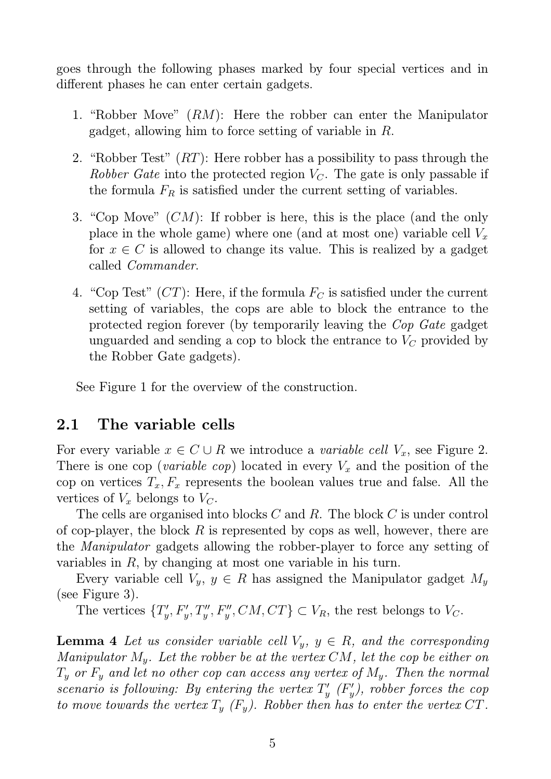goes through the following phases marked by four special vertices and in different phases he can enter certain gadgets.

- 1. "Robber Move" (RM): Here the robber can enter the Manipulator gadget, allowing him to force setting of variable in R.
- 2. "Robber Test"  $(RT)$ : Here robber has a possibility to pass through the *Robber Gate* into the protected region  $V_C$ . The gate is only passable if the formula  $F_R$  is satisfied under the current setting of variables.
- 3. "Cop Move" (CM): If robber is here, this is the place (and the only place in the whole game) where one (and at most one) variable cell  $V_x$ for  $x \in C$  is allowed to change its value. This is realized by a gadget called *Commander*.
- 4. "Cop Test"  $(CT)$ : Here, if the formula  $F_C$  is satisfied under the current setting of variables, the cops are able to block the entrance to the protected region forever (by temporarily leaving the *Cop Gate* gadget unguarded and sending a cop to block the entrance to  $V_C$  provided by the Robber Gate gadgets).

See Figure 1 for the overview of the construction.

### 2.1 The variable cells

For every variable  $x \in C \cup R$  we introduce a *variable cell*  $V_x$ , see Figure 2. There is one cop (*variable cop*) located in every  $V_x$  and the position of the cop on vertices  $T_x, F_x$  represents the boolean values true and false. All the vertices of  $V_x$  belongs to  $V_c$ .

The cells are organised into blocks C and R. The block C is under control of cop-player, the block  $R$  is represented by cops as well, however, there are the *Manipulator* gadgets allowing the robber-player to force any setting of variables in  $R$ , by changing at most one variable in his turn.

Every variable cell  $V_y$ ,  $y \in R$  has assigned the Manipulator gadget  $M_y$ (see Figure 3).

The vertices  $\{T'_u\}$  $V'_y, F'_y, T''_y, F''_y, CM, CT \} \subset V_R$ , the rest belongs to  $V_C$ .

**Lemma 4** Let us consider variable cell  $V_y$ ,  $y \in R$ , and the corresponding *Manipulator* My*. Let the robber be at the vertex* CM*, let the cop be either on* T<sup>y</sup> *or* F<sup>y</sup> *and let no other cop can access any vertex of* My*. Then the normal scenario is following: By entering the vertex* T ′  $y'$ <sub>y</sub>  $(F'_y)$ y *), robber forces the cop to move towards the vertex*  $T_y$   $(F_y)$ . Robber then has to enter the vertex CT.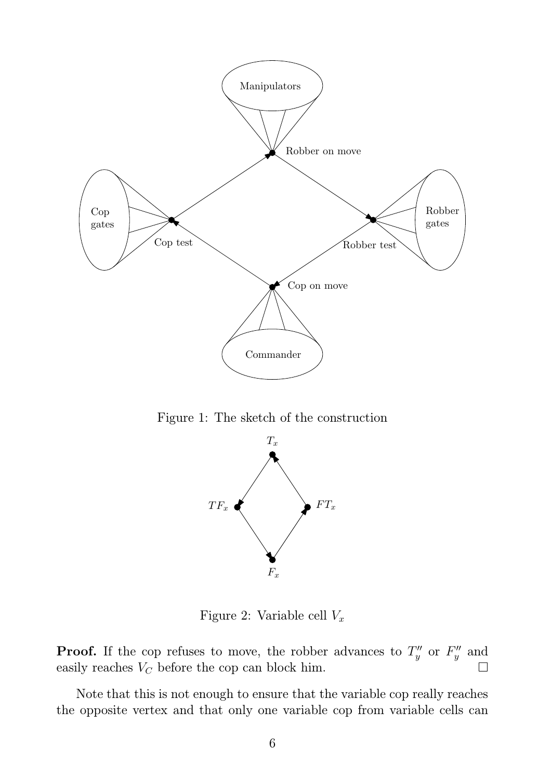

Figure 1: The sketch of the construction



Figure 2: Variable cell  $V_x$ 

**Proof.** If the cop refuses to move, the robber advances to  $T''_y$  or  $F''_y$  and easily reaches  $V_C$  before the cop can block him.

Note that this is not enough to ensure that the variable cop really reaches the opposite vertex and that only one variable cop from variable cells can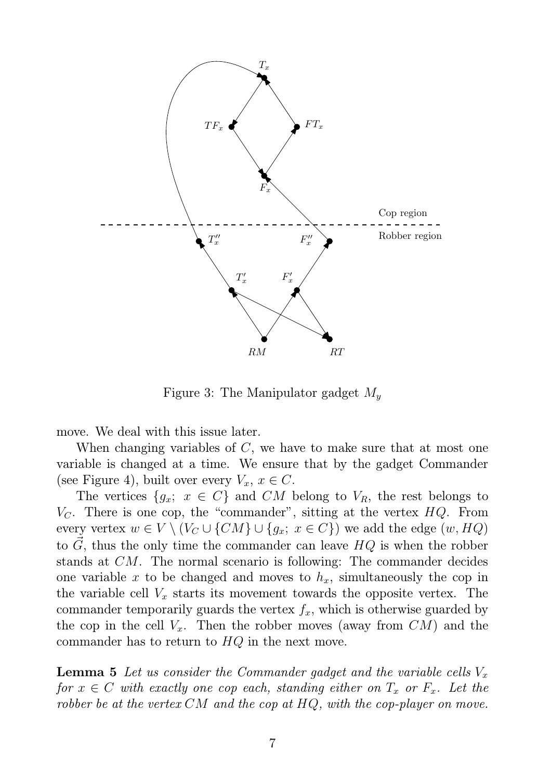

Figure 3: The Manipulator gadget  $M_y$ 

move. We deal with this issue later.

When changing variables of C, we have to make sure that at most one variable is changed at a time. We ensure that by the gadget Commander (see Figure 4), built over every  $V_x, x \in C$ .

The vertices  $\{g_x; x \in C\}$  and CM belong to  $V_R$ , the rest belongs to  $V<sub>C</sub>$ . There is one cop, the "commander", sitting at the vertex  $HQ$ . From every vertex  $w \in V \setminus (V_C \cup \{CM\} \cup \{g_x; x \in C\})$  we add the edge  $(w, HQ)$ to  $\vec{G}$ , thus the only time the commander can leave  $HQ$  is when the robber stands at CM. The normal scenario is following: The commander decides one variable x to be changed and moves to  $h_x$ , simultaneously the cop in the variable cell  $V_x$  starts its movement towards the opposite vertex. The commander temporarily guards the vertex  $f_x$ , which is otherwise guarded by the cop in the cell  $V_x$ . Then the robber moves (away from  $CM$ ) and the commander has to return to  $HQ$  in the next move.

**Lemma 5** Let us consider the Commander gadget and the variable cells  $V_x$ *for*  $x \in C$  *with exactly one cop each, standing either on*  $T_x$  *or*  $F_x$ *. Let the robber be at the vertex* CM *and the cop at* HQ*, with the cop-player on move.*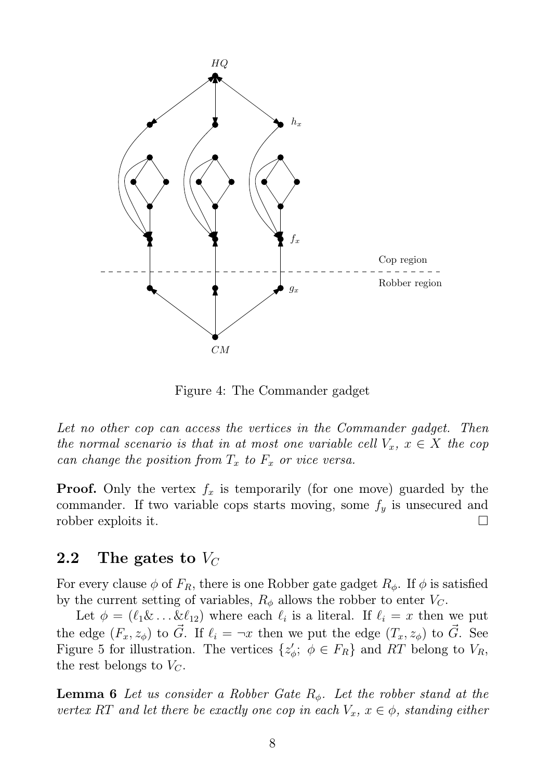

Figure 4: The Commander gadget

*Let no other cop can access the vertices in the Commander gadget. Then the normal scenario is that in at most one variable cell*  $V_x$ ,  $x \in X$  *the cop can change the position from*  $T_x$  *to*  $F_x$  *or vice versa.* 

**Proof.** Only the vertex  $f_x$  is temporarily (for one move) guarded by the commander. If two variable cops starts moving, some  $f_y$  is unsecured and robber exploits it.

#### 2.2 The gates to  $V_C$

For every clause  $\phi$  of  $F_R$ , there is one Robber gate gadget  $R_{\phi}$ . If  $\phi$  is satisfied by the current setting of variables,  $R_{\phi}$  allows the robber to enter  $V_C$ .

Let  $\phi = (\ell_1 \& \dots \& \ell_{12})$  where each  $\ell_i$  is a literal. If  $\ell_i = x$  then we put the edge  $(F_x, z_{\phi})$  to  $\tilde{G}$ . If  $\ell_i = \neg x$  then we put the edge  $(T_x, z_{\phi})$  to  $\tilde{G}$ . See Figure 5 for illustration. The vertices  $\{z_n\}$  $\zeta$ ;  $\phi \in F_R$  and RT belong to  $V_R$ , the rest belongs to  $V_C$ .

**Lemma 6** *Let us consider a Robber Gate R<sub>φ</sub>. Let the robber stand at the vertex* RT *and let there be exactly one cop in each*  $V_x$ ,  $x \in \phi$ *, standing either*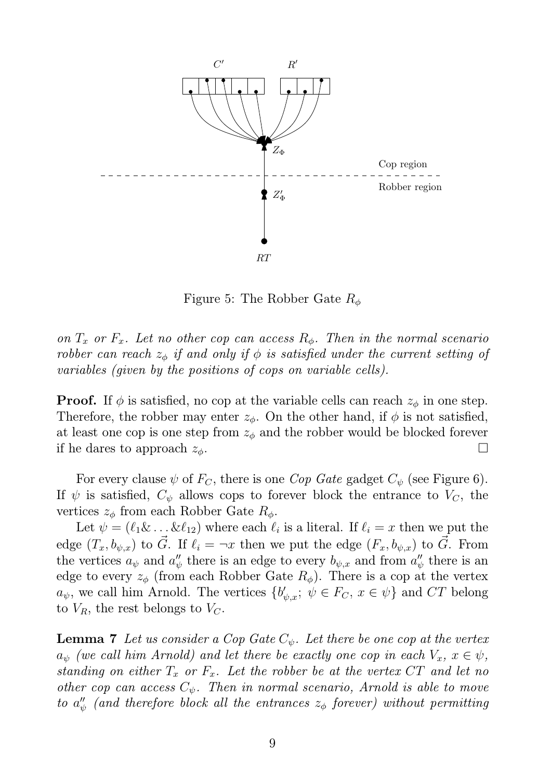

Figure 5: The Robber Gate  $R_{\phi}$ 

*on*  $T_x$  *or*  $F_x$ *. Let no other cop can access*  $R_\phi$ *. Then in the normal scenario robber can reach*  $z_{\phi}$  *if and only if*  $\phi$  *is satisfied under the current setting of variables (given by the positions of cops on variable cells).*

**Proof.** If  $\phi$  is satisfied, no cop at the variable cells can reach  $z_{\phi}$  in one step. Therefore, the robber may enter  $z_{\phi}$ . On the other hand, if  $\phi$  is not satisfied, at least one cop is one step from  $z_{\phi}$  and the robber would be blocked forever if he dares to approach  $z_{\phi}$ .

For every clause  $\psi$  of  $F_C$ , there is one *Cop Gate* gadget  $C_{\psi}$  (see Figure 6). If  $\psi$  is satisfied,  $C_{\psi}$  allows cops to forever block the entrance to  $V_C$ , the vertices  $z_{\phi}$  from each Robber Gate  $R_{\phi}$ .

Let  $\psi = (\ell_1 \& \dots \& \ell_{12})$  where each  $\ell_i$  is a literal. If  $\ell_i = x$  then we put the edge  $(T_x, b_{\psi,x})$  to  $\vec{G}$ . If  $\ell_i = \neg x$  then we put the edge  $(F_x, b_{\psi,x})$  to  $\vec{G}$ . From the vertices  $a_{\psi}$  and  $a''_{\psi}$  $\psi'_{\psi}$  there is an edge to every  $b_{\psi,x}$  and from  $a''_{\psi}$  $\psi''_{\psi}$  there is an edge to every  $z_{\phi}$  (from each Robber Gate  $R_{\phi}$ ). There is a cop at the vertex  $a_{\psi}$ , we call him Arnold. The vertices  $\{b'_{\psi,x};\ \psi \in F_C,\ x \in \psi\}$  and CT belong to  $V_R$ , the rest belongs to  $V_C$ .

**Lemma 7** Let us consider a Cop Gate  $C_{\psi}$ . Let there be one cop at the vertex  $a_{\psi}$  *(we call him Arnold) and let there be exactly one cop in each*  $V_x$ ,  $x \in \psi$ , *standing on either*  $T_x$  *or*  $F_x$ *. Let the robber be at the vertex*  $CT$  *and let no other cop can access*  $C_{\psi}$ . Then in normal scenario, Arnold is able to move  $to a''_y$  $\frac{\prime\prime}{\psi}$  (and therefore block all the entrances  $z_\phi$  forever) without permitting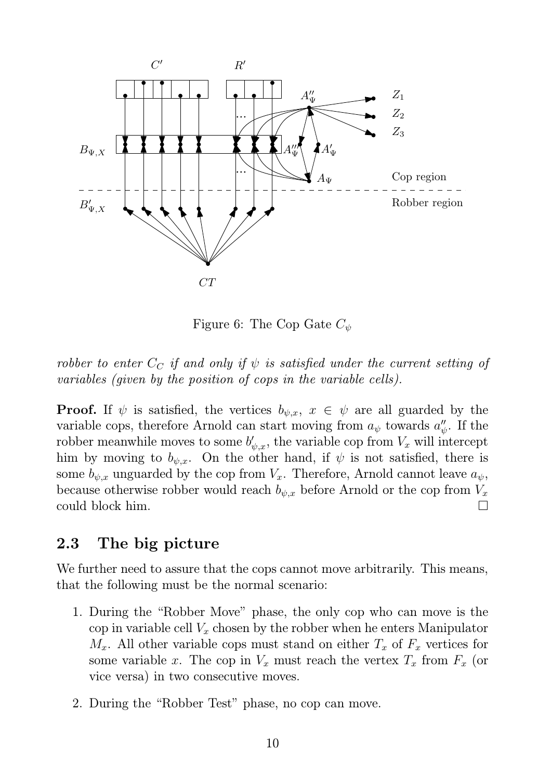

Figure 6: The Cop Gate  $C_{\psi}$ 

*robber to enter*  $C_C$  *if and only if*  $\psi$  *is satisfied under the current setting of variables (given by the position of cops in the variable cells).*

**Proof.** If  $\psi$  is satisfied, the vertices  $b_{\psi,x}$ ,  $x \in \psi$  are all guarded by the variable cops, therefore Arnold can start moving from  $a_{\psi}$  towards  $a''_{\psi}$  $\frac{\prime\prime}{\psi}.$  If the robber meanwhile moves to some  $b'_{\psi,x}$ , the variable cop from  $V_x$  will intercept him by moving to  $b_{\psi,x}$ . On the other hand, if  $\psi$  is not satisfied, there is some  $b_{\psi,x}$  unguarded by the cop from  $V_x$ . Therefore, Arnold cannot leave  $a_{\psi}$ , because otherwise robber would reach  $b_{\psi,x}$  before Arnold or the cop from  $V_x$ could block him.

### 2.3 The big picture

We further need to assure that the cops cannot move arbitrarily. This means, that the following must be the normal scenario:

- 1. During the "Robber Move" phase, the only cop who can move is the cop in variable cell  $V_x$  chosen by the robber when he enters Manipulator  $M_x$ . All other variable cops must stand on either  $T_x$  of  $F_x$  vertices for some variable x. The cop in  $V_x$  must reach the vertex  $T_x$  from  $F_x$  (or vice versa) in two consecutive moves.
- 2. During the "Robber Test" phase, no cop can move.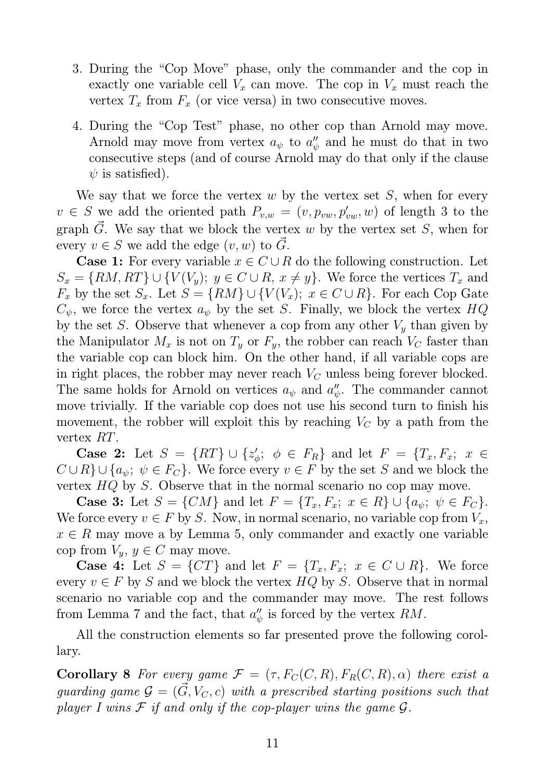- 3. During the "Cop Move" phase, only the commander and the cop in exactly one variable cell  $V_x$  can move. The cop in  $V_x$  must reach the vertex  $T_x$  from  $F_x$  (or vice versa) in two consecutive moves.
- 4. During the "Cop Test" phase, no other cop than Arnold may move. Arnold may move from vertex  $a_{\psi}$  to  $a''_{\psi}$  $\psi_{\psi}$  and he must do that in two consecutive steps (and of course Arnold may do that only if the clause  $\psi$  is satisfied).

We say that we force the vertex  $w$  by the vertex set  $S$ , when for every  $v \in S$  we add the oriented path  $P_{v,w} = (v, p_{vw}, p'_{vw}, w)$  of length 3 to the graph  $\vec{G}$ . We say that we block the vertex w by the vertex set S, when for every  $v \in S$  we add the edge  $(v, w)$  to  $\vec{G}$ .

**Case 1:** For every variable  $x \in C \cup R$  do the following construction. Let  $S_x = \{RM, RT\} \cup \{V(V_y); y \in C \cup R, x \neq y\}.$  We force the vertices  $T_x$  and  $F_x$  by the set  $S_x$ . Let  $S = \{RM\} \cup \{V(V_x); x \in C \cup R\}$ . For each Cop Gate  $C_{\psi}$ , we force the vertex  $a_{\psi}$  by the set S. Finally, we block the vertex  $HQ$ by the set S. Observe that whenever a cop from any other  $V_y$  than given by the Manipulator  $M_x$  is not on  $T_y$  or  $F_y$ , the robber can reach  $V_C$  faster than the variable cop can block him. On the other hand, if all variable cops are in right places, the robber may never reach  $V_C$  unless being forever blocked. The same holds for Arnold on vertices  $a_{\psi}$  and  $a''_{\psi}$  $\psi$ . The commander cannot move trivially. If the variable cop does not use his second turn to finish his movement, the robber will exploit this by reaching  $V_C$  by a path from the vertex RT.

Case 2: Let  $S = \{RT\} \cup \{z'_c\}$  $\psi'_\phi$ ;  $\phi \in F_R$  and let  $F = \{T_x, F_x; x \in$  $C \cup R$   $\cup$  { $a_{\psi}$ ;  $\psi \in F_C$ }. We force every  $v \in F$  by the set S and we block the vertex HQ by S. Observe that in the normal scenario no cop may move.

**Case 3:** Let  $S = \{CM\}$  and let  $F = \{T_x, F_x; x \in R\} \cup \{a_{\psi}; \psi \in F_C\}.$ We force every  $v \in F$  by S. Now, in normal scenario, no variable cop from  $V_x$ ,  $x \in R$  may move a by Lemma 5, only commander and exactly one variable cop from  $V_y, y \in C$  may move.

**Case 4:** Let  $S = \{CT\}$  and let  $F = \{T_x, F_x; x \in C \cup R\}$ . We force every  $v \in F$  by S and we block the vertex  $HQ$  by S. Observe that in normal scenario no variable cop and the commander may move. The rest follows from Lemma 7 and the fact, that  $a''_n$  $\psi_{\psi}$  is forced by the vertex  $RM$ .

All the construction elements so far presented prove the following corollary.

**Corollary 8** For every game  $\mathcal{F} = (\tau, F_C(C, R), F_R(C, R), \alpha)$  there exist a guarding game  $\mathcal{G} = (\vec{G}, V_C, c)$  with a prescribed starting positions such that *player I wins*  $F$  *if and only if the cop-player wins the game*  $G$ *.*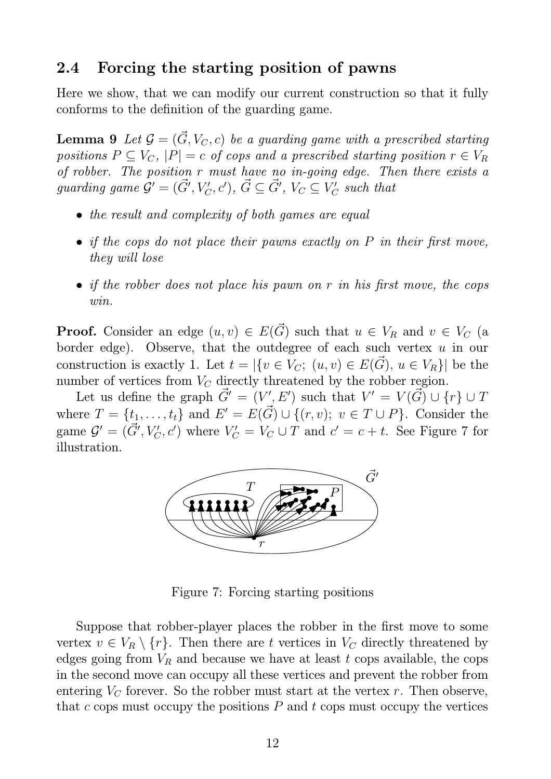#### 2.4 Forcing the starting position of pawns

Here we show, that we can modify our current construction so that it fully conforms to the definition of the guarding game.

**Lemma 9** Let  $\mathcal{G} = (\vec{G}, V_C, c)$  be a guarding game with a prescribed starting *positions*  $P \subseteq V_C$ ,  $|P| = c$  *of cops and a prescribed starting position*  $r \in V_R$ *of robber. The position* r *must have no in-going edge. Then there exists a*  $\emph{guarding game $\mathcal{G}'=(\vec{G}',V'_{C},c')$, $\vec{G}\subseteq \vec{G}'$, $V_{C}\subseteq V'_{C}$}$  $C\atop C$  such that

- *the result and complexity of both games are equal*
- *if the cops do not place their pawns exactly on* P *in their first move, they will lose*
- *if the robber does not place his pawn on* r *in his first move, the cops win.*

**Proof.** Consider an edge  $(u, v) \in E(\vec{G})$  such that  $u \in V_R$  and  $v \in V_C$  (a border edge). Observe, that the outdegree of each such vertex  $u$  in our construction is exactly 1. Let  $t = |\{v \in V_C; (u, v) \in E(\vec{G}), u \in V_R\}|$  be the number of vertices from  $V_C$  directly threatened by the robber region.

Let us define the graph  $\vec{G} = (V', E')$  such that  $V' = V(\vec{G}) \cup \{r\} \cup \vec{T}$ where  $T = \{t_1, \ldots, t_t\}$  and  $E' = E(\vec{G}) \cup \{(r, v); v \in T \cup P\}$ . Consider the game  $\mathcal{G}' = (\vec{G}', V'_{C}, c')$  where  $V'_{C} = V_{C} \cup T$  and  $c' = c + t$ . See Figure 7 for illustration.



Figure 7: Forcing starting positions

Suppose that robber-player places the robber in the first move to some vertex  $v \in V_R \setminus \{r\}$ . Then there are t vertices in  $V_C$  directly threatened by edges going from  $V_R$  and because we have at least t cops available, the cops in the second move can occupy all these vertices and prevent the robber from entering  $V_C$  forever. So the robber must start at the vertex r. Then observe, that c cops must occupy the positions  $P$  and t cops must occupy the vertices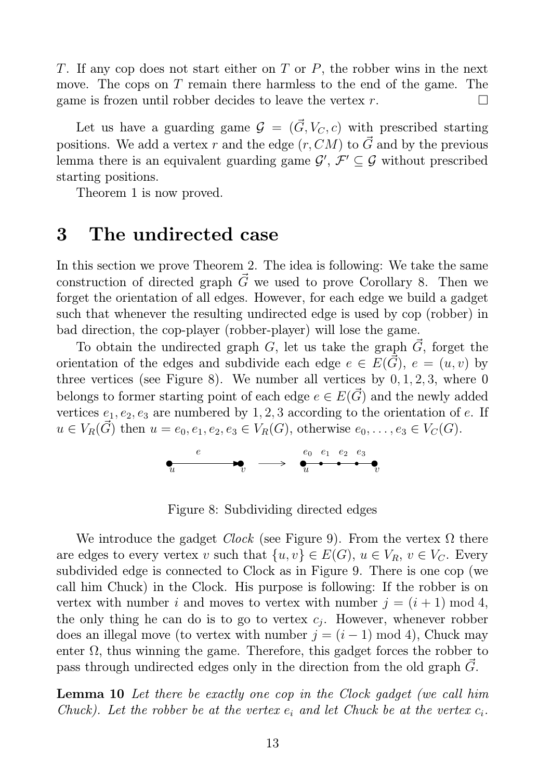T. If any cop does not start either on  $T$  or  $P$ , the robber wins in the next move. The cops on T remain there harmless to the end of the game. The game is frozen until robber decides to leave the vertex  $r$ .

Let us have a guarding game  $\mathcal{G} = (\vec{G}, V_C, c)$  with prescribed starting positions. We add a vertex r and the edge  $(r, CM)$  to  $\vec{G}$  and by the previous lemma there is an equivalent guarding game  $\mathcal{G}', \mathcal{F}' \subseteq \mathcal{G}$  without prescribed starting positions.

Theorem 1 is now proved.

## 3 The undirected case

In this section we prove Theorem 2. The idea is following: We take the same construction of directed graph  $\vec{G}$  we used to prove Corollary 8. Then we forget the orientation of all edges. However, for each edge we build a gadget such that whenever the resulting undirected edge is used by cop (robber) in bad direction, the cop-player (robber-player) will lose the game.

To obtain the undirected graph G, let us take the graph  $\tilde{G}$ , forget the orientation of the edges and subdivide each edge  $e \in E(\vec{G})$ ,  $e = (u, v)$  by three vertices (see Figure 8). We number all vertices by  $0, 1, 2, 3$ , where 0 belongs to former starting point of each edge  $e \in E(\vec{G})$  and the newly added vertices  $e_1, e_2, e_3$  are numbered by 1, 2, 3 according to the orientation of e. If  $u \in V_R(\tilde{G})$  then  $u = e_0, e_1, e_2, e_3 \in V_R(G)$ , otherwise  $e_0, \ldots, e_3 \in V_C(G)$ .



Figure 8: Subdividing directed edges

We introduce the gadget *Clock* (see Figure 9). From the vertex  $\Omega$  there are edges to every vertex v such that  $\{u, v\} \in E(G)$ ,  $u \in V_R$ ,  $v \in V_C$ . Every subdivided edge is connected to Clock as in Figure 9. There is one cop (we call him Chuck) in the Clock. His purpose is following: If the robber is on vertex with number i and moves to vertex with number  $j = (i + 1) \mod 4$ , the only thing he can do is to go to vertex  $c_j$ . However, whenever robber does an illegal move (to vertex with number  $j = (i - 1) \mod 4$ ), Chuck may enter  $\Omega$ , thus winning the game. Therefore, this gadget forces the robber to pass through undirected edges only in the direction from the old graph  $G$ .

Lemma 10 *Let there be exactly one cop in the Clock gadget (we call him Chuck*). Let the robber be at the vertex  $e_i$  and let Chuck be at the vertex  $c_i$ .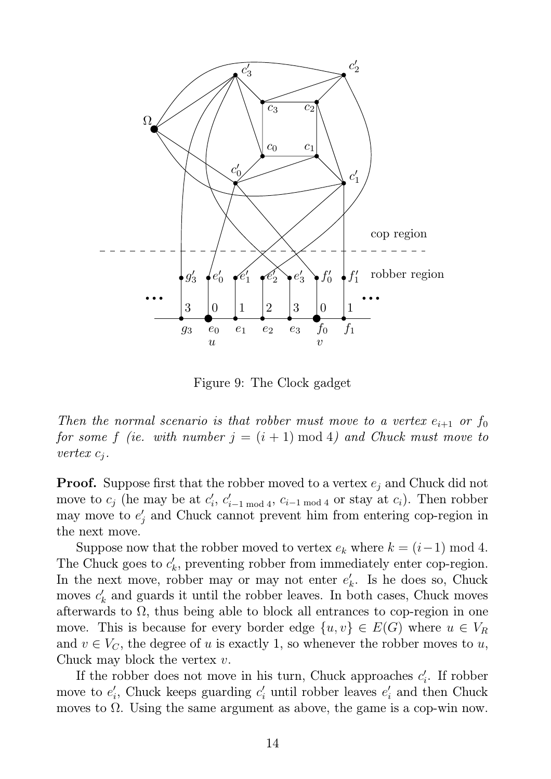

Figure 9: The Clock gadget

*Then the normal scenario is that robber must move to a vertex*  $e_{i+1}$  *or*  $f_0$ *for some f (ie. with number*  $j = (i + 1) \text{ mod } 4$ ) and Chuck must move to *vertex* c<sup>j</sup> *.*

**Proof.** Suppose first that the robber moved to a vertex  $e_i$  and Chuck did not move to  $c_j$  (he may be at  $c'_i$  $i, c'_{i-1 \mod 4}, c_{i-1 \mod 4}$  or stay at  $c_i$ ). Then robber may move to  $e'$  $'_{j}$  and Chuck cannot prevent him from entering cop-region in the next move.

Suppose now that the robber moved to vertex  $e_k$  where  $k = (i-1) \mod 4$ . The Chuck goes to  $c'_{k}$  $k$ , preventing robber from immediately enter cop-region. In the next move, robber may or may not enter  $e'_{l}$  $k<sub>k</sub>$ . Is he does so, Chuck moves  $c'_l$  $k_{k}$  and guards it until the robber leaves. In both cases, Chuck moves afterwards to  $\Omega$ , thus being able to block all entrances to cop-region in one move. This is because for every border edge  $\{u, v\} \in E(G)$  where  $u \in V_R$ and  $v \in V_C$ , the degree of u is exactly 1, so whenever the robber moves to u, Chuck may block the vertex  $v$ .

If the robber does not move in his turn, Chuck approaches  $c'_{i}$  $\int_{i}$ . If robber move to  $e'_i$  $i'$ , Chuck keeps guarding  $c'$  until robber leaves  $e'$  $i$  and then Chuck moves to  $\Omega$ . Using the same argument as above, the game is a cop-win now.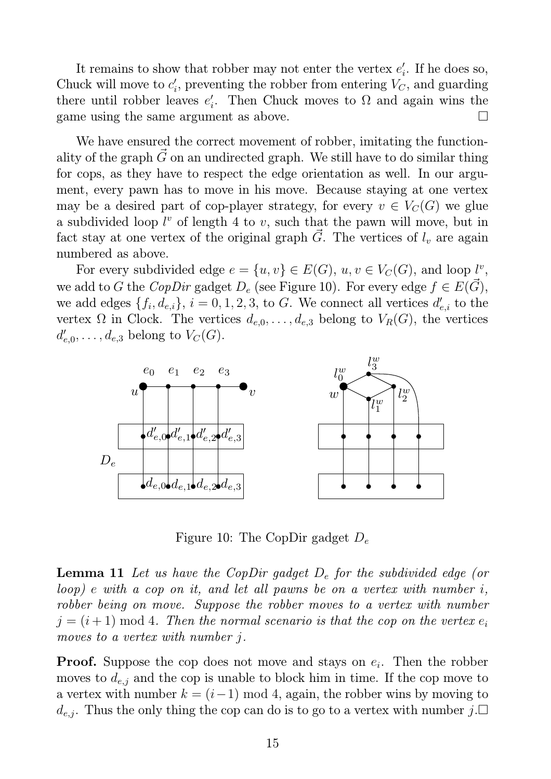It remains to show that robber may not enter the vertex  $e'_{i}$  $i<sub>i</sub>$ . If he does so, Chuck will move to  $c_i'$  $i'$ , preventing the robber from entering  $V_C$ , and guarding there until robber leaves  $e'_{i}$  $i<sub>i</sub>$ . Then Chuck moves to  $\Omega$  and again wins the game using the same argument as above.  $\square$ 

We have ensured the correct movement of robber, imitating the functionality of the graph  $\vec{G}$  on an undirected graph. We still have to do similar thing for cops, as they have to respect the edge orientation as well. In our argument, every pawn has to move in his move. Because staying at one vertex may be a desired part of cop-player strategy, for every  $v \in V<sub>C</sub>(G)$  we glue a subdivided loop  $l^v$  of length 4 to  $v$ , such that the pawn will move, but in fact stay at one vertex of the original graph  $\tilde{G}$ . The vertices of  $l_v$  are again numbered as above.

For every subdivided edge  $e = \{u, v\} \in E(G)$ ,  $u, v \in V_C(G)$ , and loop  $l^v$ , we add to G the *CopDir* gadget  $D_e$  (see Figure 10). For every edge  $f \in E(G)$ , we add edges  $\{f_i, d_{e,i}\}, i = 0, 1, 2, 3$ , to G. We connect all vertices  $d'_{e,i}$  to the vertex  $\Omega$  in Clock. The vertices  $d_{e,0}, \ldots, d_{e,3}$  belong to  $V_R(G)$ , the vertices  $d'_{\epsilon}$  $\iota'_{e,0},\ldots,d_{e,3}$  belong to  $V_C(G).$ 



Figure 10: The CopDir gadget  $D_e$ 

Lemma 11 *Let us have the CopDir gadget* D<sup>e</sup> *for the subdivided edge (or loop)* e *with a cop on it, and let all pawns be on a vertex with number* i*, robber being on move. Suppose the robber moves to a vertex with number*  $j = (i + 1) \mod 4$ . Then the normal scenario is that the cop on the vertex  $e_i$ *moves to a vertex with number* j*.*

**Proof.** Suppose the cop does not move and stays on  $e_i$ . Then the robber moves to  $d_{e,j}$  and the cop is unable to block him in time. If the cop move to a vertex with number  $k = (i-1) \mod 4$ , again, the robber wins by moving to  $d_{e,j}$ . Thus the only thing the cop can do is to go to a vertex with number  $j$ .